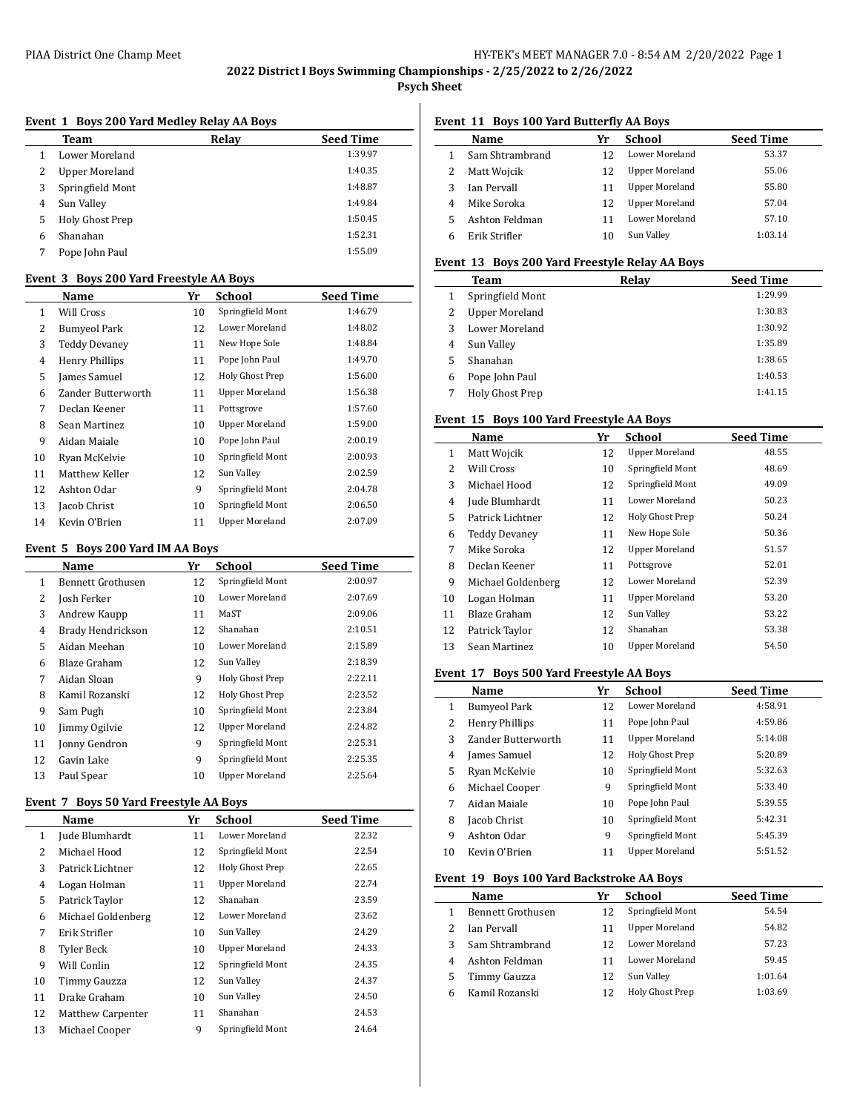#### PIAA District One Champ Meet **HY-TEK's MEET MANAGER 7.0 - 8:54 AM 2/20/2022** Page 1

**2022 District I Boys Swimming Championships - 2/25/2022 to 2/26/2022**

**Psych Sheet**

#### **Event 1 Boys 200 Yard Medley Relay AA Boys**

|   | <b>Team</b>           | Relav | <b>Seed Time</b> |
|---|-----------------------|-------|------------------|
|   | Lower Moreland        |       | 1:39.97          |
| 2 | <b>Upper Moreland</b> |       | 1:40.35          |
| 3 | Springfield Mont      |       | 1:48.87          |
| 4 | Sun Valley            |       | 1:49.84          |
| 5 | Holy Ghost Prep       |       | 1:50.45          |
| 6 | Shanahan              |       | 1:52.31          |
|   | Pope John Paul        |       | 1:55.09          |
|   |                       |       |                  |

# **Event 3 Boys 200 Yard Freestyle AA Boys**

|                | $\alpha$ . The state is a set of $\alpha$ is a set of $\alpha$ is the set of $\alpha$ |    |                       |                  |  |  |
|----------------|---------------------------------------------------------------------------------------|----|-----------------------|------------------|--|--|
|                | Name                                                                                  | Yr | School                | <b>Seed Time</b> |  |  |
| 1              | Will Cross                                                                            | 10 | Springfield Mont      | 1:46.79          |  |  |
| 2              | <b>Bumyeol Park</b>                                                                   | 12 | Lower Moreland        | 1:48.02          |  |  |
| 3              | <b>Teddy Devanev</b>                                                                  | 11 | New Hope Sole         | 1:48.84          |  |  |
| $\overline{4}$ | <b>Henry Phillips</b>                                                                 | 11 | Pope John Paul        | 1:49.70          |  |  |
| 5              | James Samuel                                                                          | 12 | Holy Ghost Prep       | 1:56.00          |  |  |
| 6              | Zander Butterworth                                                                    | 11 | <b>Upper Moreland</b> | 1:56.38          |  |  |
| 7              | Declan Keener                                                                         | 11 | Pottsgrove            | 1:57.60          |  |  |
| 8              | Sean Martinez                                                                         | 10 | <b>Upper Moreland</b> | 1:59.00          |  |  |
| 9              | Aidan Maiale                                                                          | 10 | Pope John Paul        | 2:00.19          |  |  |
| 10             | Ryan McKelvie                                                                         | 10 | Springfield Mont      | 2:00.93          |  |  |
| 11             | Matthew Keller                                                                        | 12 | Sun Valley            | 2:02.59          |  |  |
| 12             | Ashton Odar                                                                           | 9  | Springfield Mont      | 2:04.78          |  |  |
| 13             | Jacob Christ                                                                          | 10 | Springfield Mont      | 2:06.50          |  |  |
| 14             | Kevin O'Brien                                                                         | 11 | <b>Upper Moreland</b> | 2:07.09          |  |  |

## **Event 5 Boys 200 Yard IM AA Boys**

|    | Name              | Yr | School                | <b>Seed Time</b> |
|----|-------------------|----|-----------------------|------------------|
| 1  | Bennett Grothusen | 12 | Springfield Mont      | 2:00.97          |
| 2  | Josh Ferker       | 10 | Lower Moreland        | 2:07.69          |
| 3  | Andrew Kaupp      | 11 | MaST                  | 2:09.06          |
| 4  | Brady Hendrickson | 12 | Shanahan              | 2:10.51          |
| 5  | Aidan Meehan      | 10 | Lower Moreland        | 2:15.89          |
| 6  | Blaze Graham      | 12 | Sun Valley            | 2:18.39          |
| 7  | Aidan Sloan       | 9  | Holy Ghost Prep       | 2:22.11          |
| 8  | Kamil Rozanski    | 12 | Holy Ghost Prep       | 2:23.52          |
| 9  | Sam Pugh          | 10 | Springfield Mont      | 2:23.84          |
| 10 | Jimmy Ogilyie     | 12 | <b>Upper Moreland</b> | 2:24.82          |
| 11 | Jonny Gendron     | 9  | Springfield Mont      | 2:25.31          |
| 12 | Gavin Lake        | 9  | Springfield Mont      | 2:25.35          |
| 13 | Paul Spear        | 10 | <b>Upper Moreland</b> | 2:25.64          |

## **Event 7 Boys 50 Yard Freestyle AA Boys**

|    | Name               | Yr | School                | <b>Seed Time</b> |
|----|--------------------|----|-----------------------|------------------|
| 1  | Jude Blumhardt     | 11 | <b>Lower Moreland</b> | 22.32            |
| 2  | Michael Hood       | 12 | Springfield Mont      | 22.54            |
| 3  | Patrick Lichtner   | 12 | Holy Ghost Prep       | 22.65            |
| 4  | Logan Holman       | 11 | <b>Upper Moreland</b> | 22.74            |
| 5  | Patrick Taylor     | 12 | Shanahan              | 23.59            |
| 6  | Michael Goldenberg | 12 | Lower Moreland        | 23.62            |
| 7  | Erik Strifler      | 10 | Sun Valley            | 24.29            |
| 8  | Tyler Beck         | 10 | <b>Upper Moreland</b> | 24.33            |
| 9  | Will Conlin        | 12 | Springfield Mont      | 24.35            |
| 10 | Timmy Gauzza       | 12 | Sun Valley            | 24.37            |
| 11 | Drake Graham       | 10 | Sun Valley            | 24.50            |
| 12 | Matthew Carpenter  | 11 | Shanahan              | 24.53            |
| 13 | Michael Cooper     | 9  | Springfield Mont      | 24.64            |
|    |                    |    |                       |                  |

## **Event 11 Boys 100 Yard Butterfly AA Boys**

| <b>Seed Time</b> |
|------------------|
| 53.37            |
| 55.06            |
| 55.80            |
| 57.04            |
| 57.10            |
| 1:03.14          |
|                  |

### **Event 13 Boys 200 Yard Freestyle Relay AA Boys**

|   | Team                  | Relay | <b>Seed Time</b> |
|---|-----------------------|-------|------------------|
|   | Springfield Mont      |       | 1:29.99          |
| 2 | <b>Upper Moreland</b> |       | 1:30.83          |
| 3 | Lower Moreland        |       | 1:30.92          |
| 4 | Sun Valley            |       | 1:35.89          |
| 5 | Shanahan              |       | 1:38.65          |
| 6 | Pope John Paul        |       | 1:40.53          |
| 7 | Holy Ghost Prep       |       | 1:41.15          |

# **Event 15 Boys 100 Yard Freestyle AA Boys**

|                | Name                 | Yr | School                | <b>Seed Time</b> |
|----------------|----------------------|----|-----------------------|------------------|
| 1              | Matt Wojcik          | 12 | <b>Upper Moreland</b> | 48.55            |
| 2              | Will Cross           | 10 | Springfield Mont      | 48.69            |
| 3              | Michael Hood         | 12 | Springfield Mont      | 49.09            |
| $\overline{4}$ | Jude Blumhardt       | 11 | Lower Moreland        | 50.23            |
| 5              | Patrick Lichtner     | 12 | Holy Ghost Prep       | 50.24            |
| 6              | <b>Teddy Devanev</b> | 11 | New Hope Sole         | 50.36            |
| 7              | Mike Soroka          | 12 | <b>Upper Moreland</b> | 51.57            |
| 8              | Declan Keener        | 11 | Pottsgrove            | 52.01            |
| 9              | Michael Goldenberg   | 12 | Lower Moreland        | 52.39            |
| 10             | Logan Holman         | 11 | <b>Upper Moreland</b> | 53.20            |
| 11             | Blaze Graham         | 12 | Sun Valley            | 53.22            |
| 12             | Patrick Taylor       | 12 | Shanahan              | 53.38            |
| 13             | Sean Martinez        | 10 | <b>Upper Moreland</b> | 54.50            |

#### **Event 17 Boys 500 Yard Freestyle AA Boys**

|    | Name                  | Yr | <b>School</b>         | <b>Seed Time</b> |
|----|-----------------------|----|-----------------------|------------------|
| 1  | <b>Bumyeol Park</b>   | 12 | Lower Moreland        | 4:58.91          |
| 2  | <b>Henry Phillips</b> | 11 | Pope John Paul        | 4:59.86          |
| 3  | Zander Butterworth    | 11 | <b>Upper Moreland</b> | 5:14.08          |
| 4  | James Samuel          | 12 | Holy Ghost Prep       | 5:20.89          |
| 5  | Ryan McKelvie         | 10 | Springfield Mont      | 5:32.63          |
| 6  | Michael Cooper        | 9  | Springfield Mont      | 5:33.40          |
| 7  | Aidan Maiale          | 10 | Pope John Paul        | 5:39.55          |
| 8  | Jacob Christ          | 10 | Springfield Mont      | 5:42.31          |
| 9  | Ashton Odar           | 9  | Springfield Mont      | 5:45.39          |
| 10 | Kevin O'Brien         | 11 | <b>Upper Moreland</b> | 5:51.52          |
|    |                       |    |                       |                  |

# **Event 19 Boys 100 Yard Backstroke AA Boys**

|   | Name               | Yr | School                | <b>Seed Time</b> |
|---|--------------------|----|-----------------------|------------------|
|   | Bennett Grothusen  | 12 | Springfield Mont      | 54.54            |
|   | <b>Ian Pervall</b> | 11 | <b>Upper Moreland</b> | 54.82            |
| 3 | Sam Shtrambrand    | 12 | Lower Moreland        | 57.23            |
| 4 | Ashton Feldman     |    | Lower Moreland        | 59.45            |
|   | Timmy Gauzza       | 12 | Sun Valley            | 1:01.64          |
| 6 | Kamil Rozanski     |    | Holy Ghost Prep       | 1:03.69          |